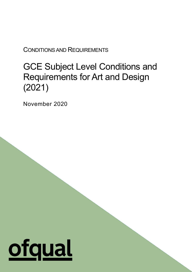CONDITIONS AND REQUIREMENTS

# GCE Subject Level Conditions and Requirements for Art and Design (2021)

1

November 2020

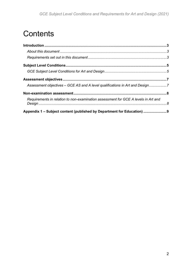# **Contents**

| Assessment objectives – GCE AS and A level qualifications in Art and Design7       |  |
|------------------------------------------------------------------------------------|--|
|                                                                                    |  |
| Requirements in relation to non-examination assessment for GCE A levels in Art and |  |
| Appendix 1 – Subject content (published by Department for Education)               |  |
|                                                                                    |  |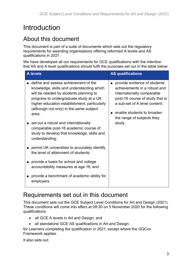## <span id="page-2-0"></span>Introduction

## <span id="page-2-1"></span>About this document

This document is part of a suite of documents which sets out the regulatory requirements for awarding organisations offering reformed A levels and AS qualifications in 2021.

We have developed all our requirements for GCE qualifications with the intention that AS and A level qualifications should fulfil the purposes set out in the table below:

| <b>A</b> levels                                                                                                                                                                                                                                                                                                                                                                                                                | <b>AS qualifications</b>                                                                                                                                                                                                              |  |  |
|--------------------------------------------------------------------------------------------------------------------------------------------------------------------------------------------------------------------------------------------------------------------------------------------------------------------------------------------------------------------------------------------------------------------------------|---------------------------------------------------------------------------------------------------------------------------------------------------------------------------------------------------------------------------------------|--|--|
| ■ define and assess achievement of the<br>knowledge, skills and understanding which<br>will be needed by students planning to<br>progress to undergraduate study at a UK<br>higher education establishment, particularly<br>(although not only) in the same subject<br>area;<br>set out a robust and internationally<br>comparable post-16 academic course of<br>study to develop that knowledge, skills and<br>understanding; | provide evidence of students'<br>achievements in a robust and<br>internationally comparable<br>post-16 course of study that is<br>a sub-set of A level content;<br>enable students to broaden<br>the range of subjects they<br>study. |  |  |
| permit UK universities to accurately identify<br>the level of attainment of students;                                                                                                                                                                                                                                                                                                                                          |                                                                                                                                                                                                                                       |  |  |
| provide a basis for school and college<br>accountability measures at age 18; and                                                                                                                                                                                                                                                                                                                                               |                                                                                                                                                                                                                                       |  |  |
| provide a benchmark of academic ability for<br>employers.                                                                                                                                                                                                                                                                                                                                                                      |                                                                                                                                                                                                                                       |  |  |

## <span id="page-2-2"></span>Requirements set out in this document

This document sets out the GCE Subject Level Conditions for Art and Design (2021). These conditions will come into effect at 09:30 on 5 November 2020 for the following qualifications:

- all GCE A levels in Art and Design; and
- all standalone GCE AS qualifications in Art and Design.

for Learners completing the qualification in 2021, except where the GQCov Framework applies.

It also sets out: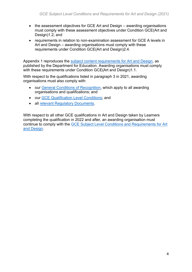- the assessment objectives for GCE Art and Design awarding organisations must comply with these assessment objectives under Condition GCE(Art and Design)1.2; and
- requirements in relation to non-examination assessment for GCE A levels in Art and Design – awarding organisations must comply with these requirements under Condition GCE(Art and Design)2.4.

Appendix 1 reproduces the [subject content requirements for Art and Design,](https://www.gov.uk/government/publications/gce-as-and-a-level-for-art-and-design) as published by the Department for Education. Awarding organisations must comply with these requirements under Condition GCE(Art and Design)1.1.

With respect to the qualifications listed in paragraph 3 in 2021, awarding organisations must also comply with:

- our [General Conditions of Recognition,](https://www.ofqual.gov.uk/documents/general-conditions-of-recognition) which apply to all awarding organisations and qualifications; and
- our [GCE Qualification Level Conditions;](https://www.ofqual.gov.uk/documents/gce-qualification-level-conditions) and
- all [relevant Regulatory Documents.](https://www.ofqual.gov.uk/documents/list-of-additional-regulatory-documents)

With respect to all other GCE qualifications in Art and Design taken by Learners completing the qualification in 2022 and after, an awarding organisation must continue to comply with the [GCE Subject Level Conditions and Requirements for Art](https://www.gov.uk/government/publications/gce-subject-level-conditions-and-requirements-for-art-and-design)  [and Design.](https://www.gov.uk/government/publications/gce-subject-level-conditions-and-requirements-for-art-and-design)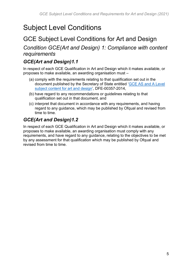## <span id="page-4-0"></span>Subject Level Conditions

## <span id="page-4-1"></span>GCE Subject Level Conditions for Art and Design

#### *Condition GCE(Art and Design) 1: Compliance with content requirements*

#### *GCE(Art and Design)1.1*

In respect of each GCE Qualification in Art and Design which it makes available, or proposes to make available, an awarding organisation must –

- (a) comply with the requirements relating to that qualification set out in the document published by the Secretary of State entitled ['GCE AS and A Level](https://www.gov.uk/government/publications/gce-as-and-a-level-for-art-and-design)  [subject content for art and design'](https://www.gov.uk/government/publications/gce-as-and-a-level-for-art-and-design), DFE-00357-2014,
- (b) have regard to any recommendations or guidelines relating to that qualification set out in that document, and
- (c) interpret that document in accordance with any requirements, and having regard to any guidance, which may be published by Ofqual and revised from time to time.

#### *GCE(Art and Design)1.2*

In respect of each GCE Qualification in Art and Design which it makes available, or proposes to make available, an awarding organisation must comply with any requirements, and have regard to any guidance, relating to the objectives to be met by any assessment for that qualification which may be published by Ofqual and revised from time to time.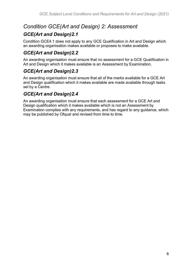### *Condition GCE(Art and Design) 2: Assessment*

#### *GCE(Art and Design)2.1*

Condition GCE4.1 does not apply to any GCE Qualification in Art and Design which an awarding organisation makes available or proposes to make available.

### *GCE(Art and Design)2.2*

An awarding organisation must ensure that no assessment for a GCE Qualification in Art and Design which it makes available is an Assessment by Examination.

#### *GCE(Art and Design)2.3*

An awarding organisation must ensure that all of the marks available for a GCE Art and Design qualification which it makes available are made available through tasks set by a Centre.

#### *GCE(Art and Design)2.4*

An awarding organisation must ensure that each assessment for a GCE Art and Design qualification which it makes available which is not an Assessment by Examination complies with any requirements, and has regard to any guidance, which may be published by Ofqual and revised from time to time.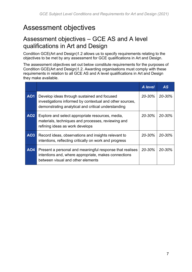## <span id="page-6-0"></span>Assessment objectives

### <span id="page-6-1"></span>Assessment objectives – GCE AS and A level qualifications in Art and Design

Condition GCE(Art and Design)1.2 allows us to specify requirements relating to the objectives to be met by any assessment for GCE qualifications in Art and Design.

The assessment objectives set out below constitute requirements for the purposes of Condition GCE(Art and Design)1.2. Awarding organisations must comply with these requirements in relation to all GCE AS and A level qualifications in Art and Design they make available.

|            |                                                                                                                                                                | A level    | <b>AS</b>  |
|------------|----------------------------------------------------------------------------------------------------------------------------------------------------------------|------------|------------|
| <b>AO1</b> | Develop ideas through sustained and focused<br>investigations informed by contextual and other sources,<br>demonstrating analytical and critical understanding | 20-30%     | 20-30%     |
| <b>AO2</b> | Explore and select appropriate resources, media,<br>materials, techniques and processes, reviewing and<br>refining ideas as work develops                      | $20 - 30%$ | 20-30%     |
| AO3        | Record ideas, observations and insights relevant to<br>intentions, reflecting critically on work and progress                                                  | $20 - 30%$ | $20 - 30%$ |
| <b>AO4</b> | Present a personal and meaningful response that realises<br>intentions and, where appropriate, makes connections<br>between visual and other elements          | $20 - 30%$ | 20-30%     |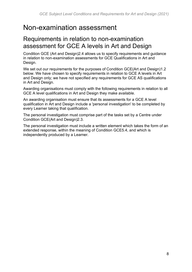## <span id="page-7-0"></span>Non-examination assessment

### <span id="page-7-1"></span>Requirements in relation to non-examination assessment for GCE A levels in Art and Design

Condition GCE (Art and Design)2.4 allows us to specify requirements and guidance in relation to non-examination assessments for GCE Qualifications in Art and Design.

We set out our requirements for the purposes of Condition GCE(Art and Design)1.2 below. We have chosen to specify requirements in relation to GCE A levels in Art and Design only; we have not specified any requirements for GCE AS qualifications in Art and Design.

Awarding organisations must comply with the following requirements in relation to all GCE A level qualifications in Art and Design they make available.

An awarding organisation must ensure that its assessments for a GCE A level qualification in Art and Design include a 'personal investigation' to be completed by every Learner taking that qualification.

The personal investigation must comprise part of the tasks set by a Centre under Condition GCE(Art and Design)2.3.

The personal investigation must include a written element which takes the form of an extended response, within the meaning of Condition GCE5.4, and which is independently produced by a Learner.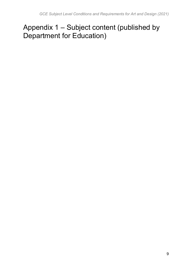## <span id="page-8-0"></span>Appendix 1 – Subject content (published by Department for Education)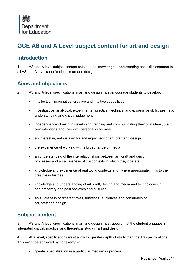

### **GCE AS and A Level subject content for art and design**

#### **Introduction**

1. AS and A level subject content sets out the knowledge, understanding and skills common to all AS and A level specifications in art and design.

#### **Aims and objectives**

- 2. AS and A level specifications in art and design must encourage students to develop:
	- intellectual, imaginative, creative and intuitive capabilities
	- investigative, analytical, experimental, practical, technical and expressive skills, aesthetic understanding and critical judgement
	- independence of mind in developing, refining and communicating their own ideas, their own intentions and their own personal outcomes
	- an interest in, enthusiasm for and enjoyment of art, craft and design
	- the experience of working with a broad range of media
	- an understanding of the interrelationships between art, craft and design processes and an awareness of the contexts in which they operate
	- knowledge and experience of real world contexts and, where appropriate, links to the creative industries
	- knowledge and understanding of art, craft, design and media and technologies in contemporary and past societies and cultures
	- an awareness of different roles, functions, audiences and consumers of art, craft and design

#### **Subject content**

3. AS and A level specifications in art and design must specify that the student engages in integrated critical, practical and theoretical study in art and design.

4. At A level, specifications must allow for greater depth of study than the AS specifications. This might be achieved by, for example:

greater specialisation in a particular medium or process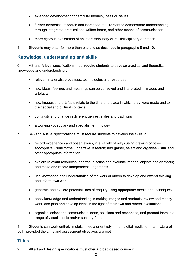- extended development of particular themes, ideas or issues
- further theoretical research and increased requirement to demonstrate understanding through integrated practical and written forms, and other means of communication
- more rigorous exploration of an interdisciplinary or multidisciplinary approach

5. Students may enter for more than one title as described in paragraphs 9 and 10.

#### **Knowledge, understanding and skills**

6. AS and A level specifications must require students to develop practical and theoretical knowledge and understanding of:

- relevant materials, processes, technologies and resources
- how ideas, feelings and meanings can be conveyed and interpreted in images and artefacts
- how images and artefacts relate to the time and place in which they were made and to their social and cultural contexts
- continuity and change in different genres, styles and traditions
- a working vocabulary and specialist terminology
- 7. AS and A level specifications must require students to develop the skills to:
	- record experiences and observations, in a variety of ways using drawing or other appropriate visual forms; undertake research; and gather, select and organise visual and other appropriate information
	- explore relevant resources; analyse, discuss and evaluate images, objects and artefacts; and make and record independent judgements
	- use knowledge and understanding of the work of others to develop and extend thinking and inform own work
	- generate and explore potential lines of enquiry using appropriate media and techniques
	- apply knowledge and understanding in making images and artefacts; review and modify work; and plan and develop ideas in the light of their own and others' evaluations
	- organise, select and communicate ideas, solutions and responses, and present them in a range of visual, tactile and/or sensory forms

8. Students can work entirely in digital media or entirely in non-digital media, or in a mixture of both, provided the aims and assessment objectives are met.

#### **Titles**

9. All art and design specifications must offer a broad-based course in: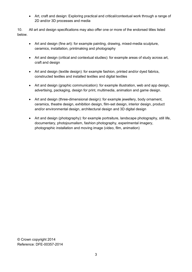Art, craft and design: Exploring practical and critical/contextual work through a range of 2D and/or 3D processes and media

10. All art and design specifications may also offer one or more of the endorsed titles listed below.

- Art and design (fine art): for example painting, drawing, mixed-media sculpture, ceramics, installation, printmaking and photography
- Art and design (critical and contextual studies): for example areas of study across art, craft and design
- Art and design (textile design): for example fashion, printed and/or dyed fabrics, constructed textiles and installed textiles and digital textiles
- Art and design (graphic communication): for example illustration, web and app design, advertising, packaging, design for print, multimedia, animation and game design.
- Art and design (three-dimensional design): for example jewellery, body ornament, ceramics, theatre design, exhibition design, film-set design, interior design, product and/or environmental design, architectural design and 3D digital design
- Art and design (photography): for example portraiture, landscape photography, still life, documentary, photojournalism, fashion photography, experimental imagery, photographic installation and moving image (video, film, animation)